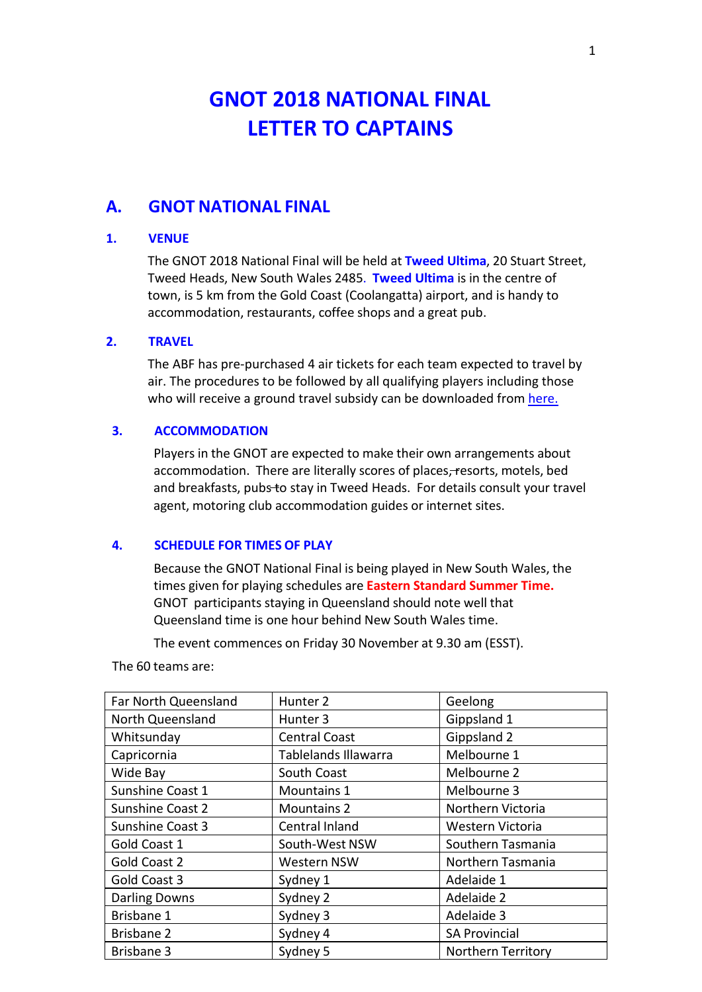# **GNOT 2018 NATIONAL FINAL LETTER TO CAPTAINS**

## **A. GNOT NATIONAL FINAL**

#### **1. VENUE**

The GNOT 2018 National Final will be held at **Tweed Ultima**, 20 Stuart Street, Tweed Heads, New South Wales 2485. **Tweed Ultima** is in the centre of town, is 5 km from the Gold Coast (Coolangatta) airport, and is handy to accommodation, restaurants, coffee shops and a great pub.

#### **2. TRAVEL**

The ABF has pre-purchased 4 air tickets for each team expected to travel by air. The procedures to be followed by all qualifying players including those who will receive a ground travel subsidy can be downloaded from [here.](http://www.abfevents.com.au/events/gnot/2018/docs/2018GNOTSubsidyAnnouncement.pdf)

#### **3. ACCOMMODATION**

Players in the GNOT are expected to make their own arrangements about accommodation. There are literally scores of places, resorts, motels, bed and breakfasts, pubs to stay in Tweed Heads. For details consult your travel agent, motoring club accommodation guides or internet sites.

#### **4. SCHEDULE FOR TIMES OF PLAY**

Because the GNOT National Final is being played in New South Wales, the times given for playing schedules are **Eastern Standard Summer Time.** GNOT participants staying in Queensland should note well that Queensland time is one hour behind New South Wales time.

The event commences on Friday 30 November at 9.30 am (ESST).

The 60 teams are:

| Far North Queensland    | Hunter <sub>2</sub>         | Geelong                   |
|-------------------------|-----------------------------|---------------------------|
| North Queensland        | Hunter <sub>3</sub>         | Gippsland 1               |
| Whitsunday              | <b>Central Coast</b>        | Gippsland 2               |
| Capricornia             | <b>Tablelands Illawarra</b> | Melbourne 1               |
| Wide Bay                | South Coast                 | Melbourne 2               |
| Sunshine Coast 1        | Mountains 1                 | Melbourne 3               |
| Sunshine Coast 2        | <b>Mountains 2</b>          | Northern Victoria         |
| <b>Sunshine Coast 3</b> | Central Inland              | Western Victoria          |
| Gold Coast 1            | South-West NSW              | Southern Tasmania         |
| Gold Coast 2            | Western NSW                 | Northern Tasmania         |
| Gold Coast 3            | Sydney 1                    | Adelaide 1                |
| <b>Darling Downs</b>    | Sydney 2                    | Adelaide 2                |
| Brisbane 1              | Sydney 3                    | Adelaide 3                |
| <b>Brisbane 2</b>       | Sydney 4                    | <b>SA Provincial</b>      |
| <b>Brisbane 3</b>       | Sydney 5                    | <b>Northern Territory</b> |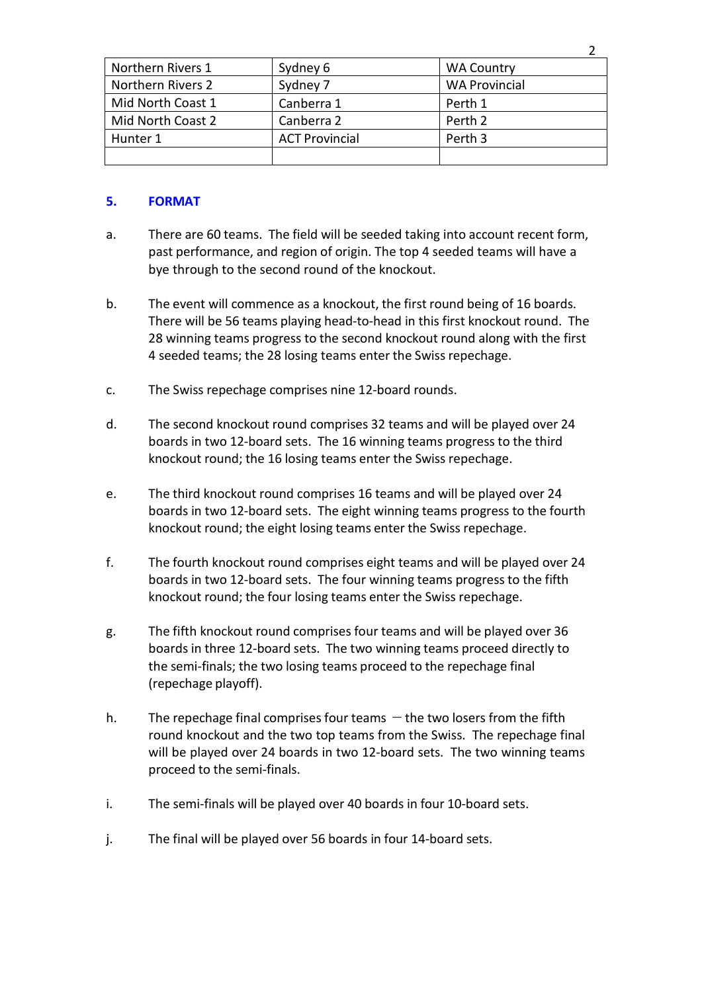| Northern Rivers 1 | Sydney 6              | <b>WA Country</b>    |
|-------------------|-----------------------|----------------------|
| Northern Rivers 2 | Sydney 7              | <b>WA Provincial</b> |
| Mid North Coast 1 | Canberra 1            | Perth 1              |
| Mid North Coast 2 | Canberra 2            | Perth 2              |
| Hunter 1          | <b>ACT Provincial</b> | Perth 3              |
|                   |                       |                      |

2

#### **5. FORMAT**

- a. There are 60 teams. The field will be seeded taking into account recent form, past performance, and region of origin. The top 4 seeded teams will have a bye through to the second round of the knockout.
- b. The event will commence as a knockout, the first round being of 16 boards. There will be 56 teams playing head-to-head in this first knockout round. The 28 winning teams progress to the second knockout round along with the first 4 seeded teams; the 28 losing teams enter the Swiss repechage.
- c. The Swiss repechage comprises nine 12-board rounds.
- d. The second knockout round comprises 32 teams and will be played over 24 boards in two 12-board sets. The 16 winning teams progress to the third knockout round; the 16 losing teams enter the Swiss repechage.
- e. The third knockout round comprises 16 teams and will be played over 24 boards in two 12-board sets. The eight winning teams progress to the fourth knockout round; the eight losing teams enter the Swiss repechage.
- f. The fourth knockout round comprises eight teams and will be played over 24 boards in two 12-board sets. The four winning teams progress to the fifth knockout round; the four losing teams enter the Swiss repechage.
- g. The fifth knockout round comprises four teams and will be played over 36 boards in three 12-board sets. The two winning teams proceed directly to the semi-finals; the two losing teams proceed to the repechage final (repechage playoff).
- h. The repechage final comprises four teams  $-\theta$  the two losers from the fifth round knockout and the two top teams from the Swiss. The repechage final will be played over 24 boards in two 12-board sets. The two winning teams proceed to the semi-finals.
- i. The semi-finals will be played over 40 boards in four 10-board sets.
- j. The final will be played over 56 boards in four 14-board sets.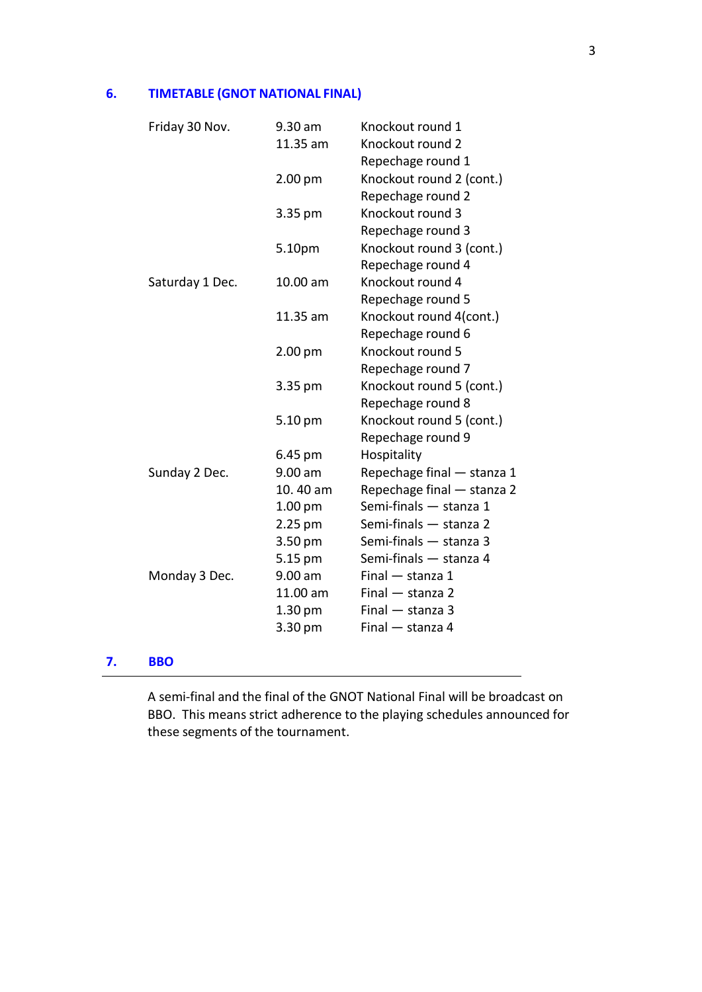### **6. TIMETABLE (GNOT NATIONAL FINAL)**

|    | Friday 30 Nov.  | 9.30 am<br>11.35 am | Knockout round 1<br>Knockout round 2 |
|----|-----------------|---------------------|--------------------------------------|
|    |                 |                     | Repechage round 1                    |
|    |                 | 2.00 pm             | Knockout round 2 (cont.)             |
|    |                 |                     | Repechage round 2                    |
|    |                 | 3.35 pm             | Knockout round 3                     |
|    |                 |                     | Repechage round 3                    |
|    |                 | 5.10pm              | Knockout round 3 (cont.)             |
|    |                 |                     | Repechage round 4                    |
|    | Saturday 1 Dec. | 10.00 am            | Knockout round 4                     |
|    |                 |                     | Repechage round 5                    |
|    |                 | 11.35 am            | Knockout round 4(cont.)              |
|    |                 |                     | Repechage round 6                    |
|    |                 | 2.00 pm             | Knockout round 5                     |
|    |                 |                     | Repechage round 7                    |
|    |                 | 3.35 pm             | Knockout round 5 (cont.)             |
|    |                 |                     | Repechage round 8                    |
|    |                 | 5.10 pm             | Knockout round 5 (cont.)             |
|    |                 |                     | Repechage round 9                    |
|    |                 | 6.45 pm             | Hospitality                          |
|    | Sunday 2 Dec.   | 9.00 am             | Repechage final - stanza 1           |
|    |                 | 10.40 am            | Repechage final - stanza 2           |
|    |                 | 1.00 <sub>pm</sub>  | Semi-finals - stanza 1               |
|    |                 | 2.25 pm             | Semi-finals - stanza 2               |
|    |                 | 3.50 pm             | Semi-finals - stanza 3               |
|    |                 | 5.15 pm             | Semi-finals - stanza 4               |
|    | Monday 3 Dec.   | 9.00 am             | Final - stanza 1                     |
|    |                 | 11.00 am            | $Final - stanza 2$                   |
|    |                 | 1.30 pm             | $Final - stanza 3$                   |
|    |                 | 3.30 pm             | Final - stanza 4                     |
|    | <b>BBO</b>      |                     |                                      |
| 7. |                 |                     |                                      |

A semi-final and the final of the GNOT National Final will be broadcast on BBO. This means strict adherence to the playing schedules announced for these segments of the tournament.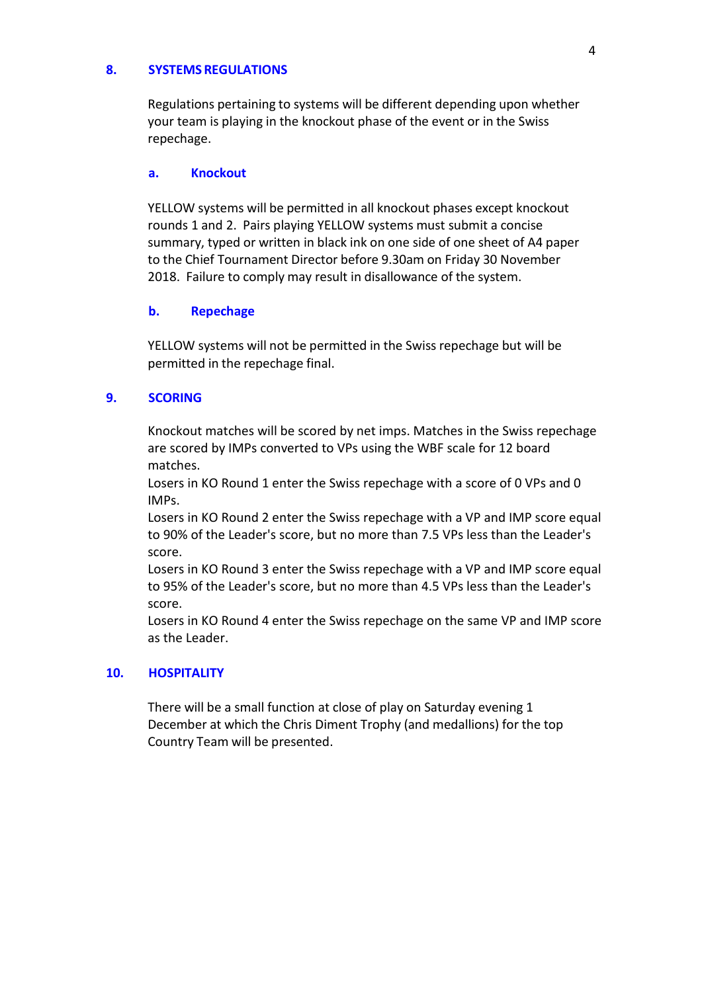#### **8. SYSTEMS REGULATIONS**

Regulations pertaining to systems will be different depending upon whether your team is playing in the knockout phase of the event or in the Swiss repechage.

#### **a. Knockout**

YELLOW systems will be permitted in all knockout phases except knockout rounds 1 and 2. Pairs playing YELLOW systems must submit a concise summary, typed or written in black ink on one side of one sheet of A4 paper to the Chief Tournament Director before 9.30am on Friday 30 November 2018. Failure to comply may result in disallowance of the system.

#### **b. Repechage**

YELLOW systems will not be permitted in the Swiss repechage but will be permitted in the repechage final.

#### **9. SCORING**

Knockout matches will be scored by net imps. Matches in the Swiss repechage are scored by IMPs converted to VPs using the WBF scale for 12 board matches.

Losers in KO Round 1 enter the Swiss repechage with a score of 0 VPs and 0 IMPs.

Losers in KO Round 2 enter the Swiss repechage with a VP and IMP score equal to 90% of the Leader's score, but no more than 7.5 VPs less than the Leader's score.

Losers in KO Round 3 enter the Swiss repechage with a VP and IMP score equal to 95% of the Leader's score, but no more than 4.5 VPs less than the Leader's score.

Losers in KO Round 4 enter the Swiss repechage on the same VP and IMP score as the Leader.

#### **10. HOSPITALITY**

There will be a small function at close of play on Saturday evening 1 December at which the Chris Diment Trophy (and medallions) for the top Country Team will be presented.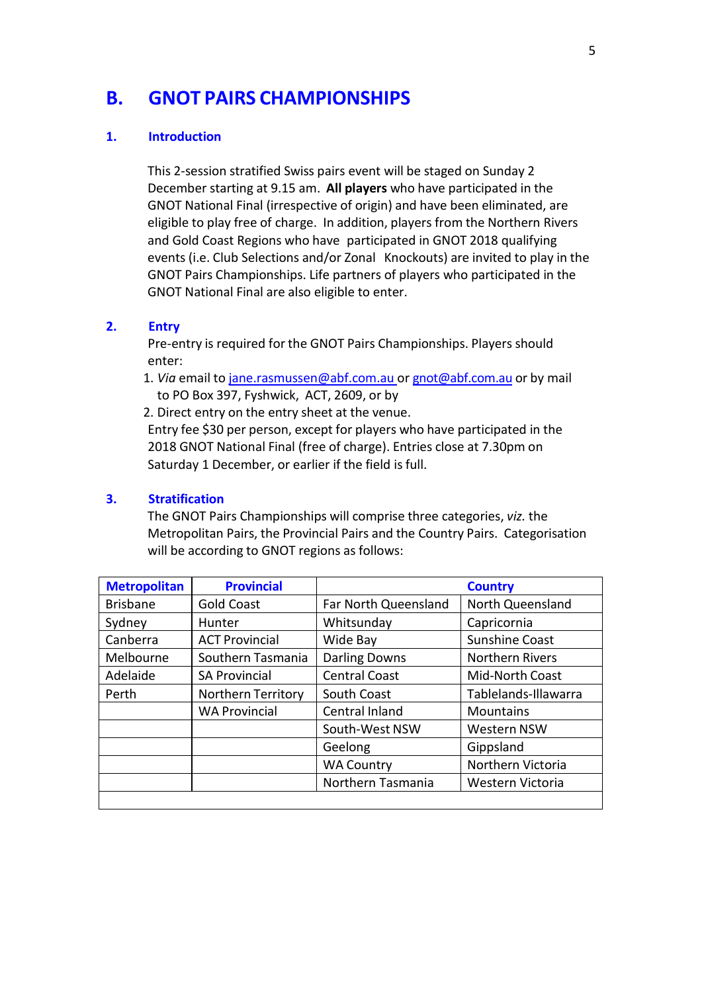## **B. GNOT PAIRS CHAMPIONSHIPS**

#### **1. Introduction**

This 2-session stratified Swiss pairs event will be staged on Sunday 2 December starting at 9.15 am. **All players** who have participated in the GNOT National Final (irrespective of origin) and have been eliminated, are eligible to play free of charge. In addition, players from the Northern Rivers and Gold Coast Regions who have participated in GNOT 2018 qualifying events (i.e. Club Selections and/or Zonal Knockouts) are invited to play in the GNOT Pairs Championships. Life partners of players who participated in the GNOT National Final are also eligible to enter.

#### **2. Entry**

Pre-entry is required for the GNOT Pairs Championships. Players should enter:

1. *Via* email to [jane.rasmussen@abf.com.au](mailto:jane.rasmussen@abf.com.au) or [gnot@abf.com.au](mailto:gnot@abf.com.au) or by mail to PO Box 397, Fyshwick, ACT, 2609, or by

2. Direct entry on the entry sheet at the venue.

Entry fee \$30 per person, except for players who have participated in the 2018 GNOT National Final (free of charge). Entries close at 7.30pm on Saturday 1 December, or earlier if the field is full.

#### **3. Stratification**

The GNOT Pairs Championships will comprise three categories, *viz.* the Metropolitan Pairs, the Provincial Pairs and the Country Pairs. Categorisation will be according to GNOT regions as follows:

| <b>Metropolitan</b> | <b>Provincial</b>     |                      | <b>Country</b>         |
|---------------------|-----------------------|----------------------|------------------------|
| <b>Brisbane</b>     | <b>Gold Coast</b>     | Far North Queensland | North Queensland       |
| Sydney              | Hunter                | Whitsunday           | Capricornia            |
| Canberra            | <b>ACT Provincial</b> | Wide Bay             | <b>Sunshine Coast</b>  |
| Melbourne           | Southern Tasmania     | <b>Darling Downs</b> | <b>Northern Rivers</b> |
| Adelaide            | <b>SA Provincial</b>  | <b>Central Coast</b> | Mid-North Coast        |
| Perth               | Northern Territory    | South Coast          | Tablelands-Illawarra   |
|                     | <b>WA Provincial</b>  | Central Inland       | Mountains              |
|                     |                       | South-West NSW       | <b>Western NSW</b>     |
|                     |                       | Geelong              | Gippsland              |
|                     |                       | <b>WA Country</b>    | Northern Victoria      |
|                     |                       | Northern Tasmania    | Western Victoria       |
|                     |                       |                      |                        |